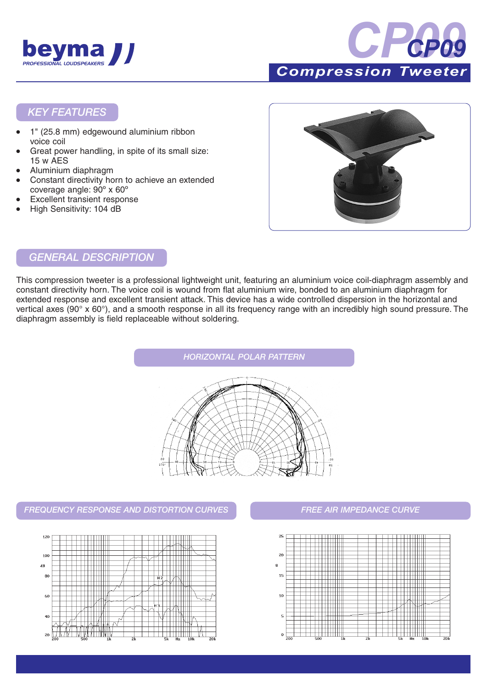



*KEY FEATURES*

- 1" (25.8 mm) edgewound aluminium ribbon voice coil
- Great power handling, in spite of its small size: 15 w AES
- Aluminium diaphragm
- Constant directivity horn to achieve an extended coverage angle: 90º x 60º
- **Excellent transient response**
- High Sensitivity: 104 dB



#### *GENERAL DESCRIPTION*

This compression tweeter is a professional lightweight unit, featuring an aluminium voice coil-diaphragm assembly and constant directivity horn. The voice coil is wound from flat aluminium wire, bonded to an aluminium diaphragm for extended response and excellent transient attack. This device has a wide controlled dispersion in the horizontal and vertical axes (90° x 60°), and a smooth response in all its frequency range with an incredibly high sound pressure. The diaphragm assembly is field replaceable without soldering.



*FREQUENCY RESPONSE AND DISTORTION CURVES FREE AIR IMPEDANCE CURVE*